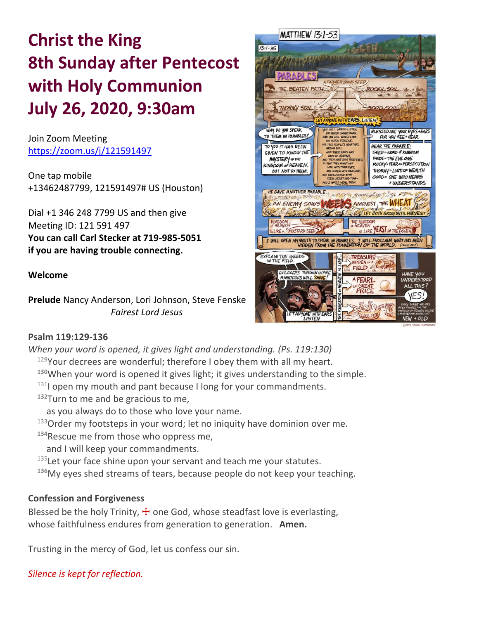# **Christ the King 8th Sunday after Pentecost with Holy Communion July 26, 2020, 9:30am**

Join Zoom Meeting https://zoom.us/j/121591497

One tap mobile +13462487799, 121591497# US (Houston)

Dial +1 346 248 7799 US and then give Meeting ID: 121 591 497 **You can call Carl Stecker at 719-985-5051 if you are having trouble connecting.**

## **Welcome**

**Prelude** Nancy Anderson, Lori Johnson, Steve Fenske  *Fairest Lord Jesus*



#### **Psalm 119:129-136**

*When your word is opened, it gives light and understanding. (Ps. 119:130)*

 $129$ Your decrees are wonderful; therefore I obey them with all my heart.

- **<sup>130</sup>**When your word is opened it gives light; it gives understanding to the simple.
- $131$  open my mouth and pant because I long for your commandments.
- **<sup>132</sup>**Turn to me and be gracious to me,
	- as you always do to those who love your name.
- $133$ Order my footsteps in your word; let no iniquity have dominion over me.
- **<sup>134</sup>**Rescue me from those who oppress me,
- and I will keep your commandments.

 $135$  Let your face shine upon your servant and teach me your statutes.

**<sup>136</sup>**My eyes shed streams of tears, because people do not keep your teaching.

## **Confession and Forgiveness**

Blessed be the holy Trinity,  $\pm$  one God, whose steadfast love is everlasting, whose faithfulness endures from generation to generation. **Amen.**

Trusting in the mercy of God, let us confess our sin.

*Silence is kept for reflection.*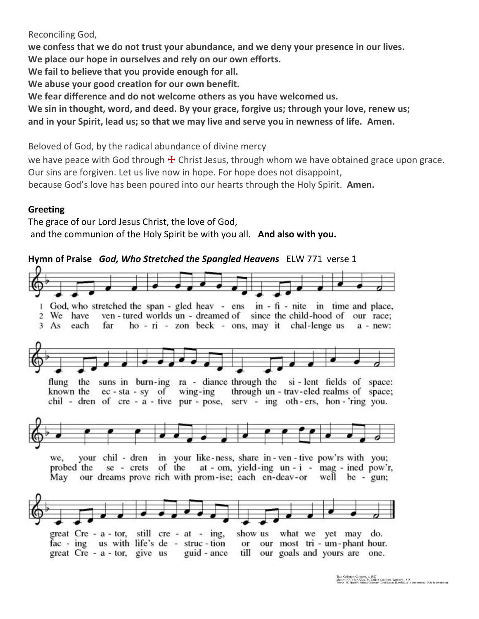### Reconciling God,

**we confess that we do not trust your abundance, and we deny your presence in our lives. We place our hope in ourselves and rely on our own efforts. We fail to believe that you provide enough for all. We abuse your good creation for our own benefit. We fear difference and do not welcome others as you have welcomed us.**

**We sin in thought, word, and deed. By your grace, forgive us; through your love, renew us; and in your Spirit, lead us; so that we may live and serve you in newness of life. Amen.**

Beloved of God, by the radical abundance of divine mercy

we have peace with God through  $\pm$  Christ Jesus, through whom we have obtained grace upon grace. Our sins are forgiven. Let us live now in hope. For hope does not disappoint,

because God's love has been poured into our hearts through the Holy Spirit. **Amen.**

## **Greeting**

The grace of our Lord Jesus Christ, the love of God, and the communion of the Holy Spirit be with you all. **And also with you.**



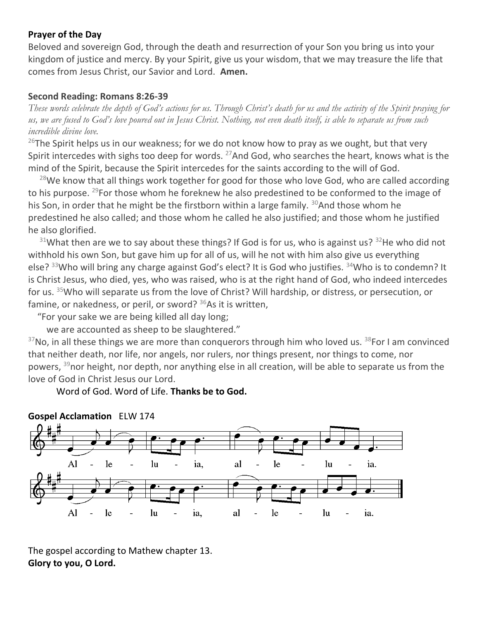## **Prayer of the Day**

Beloved and sovereign God, through the death and resurrection of your Son you bring us into your kingdom of justice and mercy. By your Spirit, give us your wisdom, that we may treasure the life that comes from Jesus Christ, our Savior and Lord. **Amen.**

#### **Second Reading: Romans 8:26-39**

*These words celebrate the depth of God's actions for us. Through Christ's death for us and the activity of the Spirit praying for us, we are fused to God's love poured out in Jesus Christ. Nothing, not even death itself, is able to separate us from such incredible divine love.*

 $^{26}$ The Spirit helps us in our weakness; for we do not know how to pray as we ought, but that very Spirit intercedes with sighs too deep for words.  $^{27}$ And God, who searches the heart, knows what is the mind of the Spirit, because the Spirit intercedes for the saints according to the will of God.

 $28$ We know that all things work together for good for those who love God, who are called according to his purpose. <sup>29</sup>For those whom he foreknew he also predestined to be conformed to the image of his Son, in order that he might be the firstborn within a large family.  $30$ And those whom he predestined he also called; and those whom he called he also justified; and those whom he justified he also glorified.

 $31$ What then are we to say about these things? If God is for us, who is against us?  $32$ He who did not withhold his own Son, but gave him up for all of us, will he not with him also give us everything else? <sup>33</sup>Who will bring any charge against God's elect? It is God who justifies. <sup>34</sup>Who is to condemn? It is Christ Jesus, who died, yes, who was raised, who is at the right hand of God, who indeed intercedes for us. <sup>35</sup>Who will separate us from the love of Christ? Will hardship, or distress, or persecution, or famine, or nakedness, or peril, or sword?  $36$ As it is written,

"For your sake we are being killed all day long;

we are accounted as sheep to be slaughtered."

 $37$ No, in all these things we are more than conquerors through him who loved us.  $38$ For I am convinced that neither death, nor life, nor angels, nor rulers, nor things present, nor things to come, nor powers, <sup>39</sup>nor height, nor depth, nor anything else in all creation, will be able to separate us from the love of God in Christ Jesus our Lord.

Word of God. Word of Life. **Thanks be to God.**





The gospel according to Mathew chapter 13. **Glory to you, O Lord.**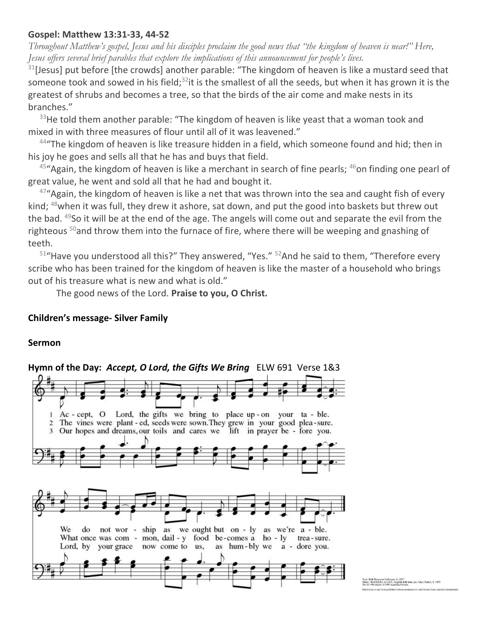## **Gospel: Matthew 13:31-33, 44-52**

*Throughout Matthew's gospel, Jesus and his disciples proclaim the good news that "the kingdom of heaven is near!" Here, Jesus offers several brief parables that explore the implications of this announcement for people's lives.*

 $31$ [Jesus] put before [the crowds] another parable: "The kingdom of heaven is like a mustard seed that someone took and sowed in his field; $32$ it is the smallest of all the seeds, but when it has grown it is the greatest of shrubs and becomes a tree, so that the birds of the air come and make nests in its branches."

 $33$ He told them another parable: "The kingdom of heaven is like yeast that a woman took and mixed in with three measures of flour until all of it was leavened."

44"The kingdom of heaven is like treasure hidden in a field, which someone found and hid; then in his joy he goes and sells all that he has and buys that field.

 $45$ "Again, the kingdom of heaven is like a merchant in search of fine pearls;  $46$ on finding one pearl of great value, he went and sold all that he had and bought it.

 $47^{\circ}$ Again, the kingdom of heaven is like a net that was thrown into the sea and caught fish of every kind; <sup>48</sup>when it was full, they drew it ashore, sat down, and put the good into baskets but threw out the bad. <sup>49</sup>So it will be at the end of the age. The angels will come out and separate the evil from the righteous <sup>50</sup>and throw them into the furnace of fire, where there will be weeping and gnashing of teeth.

 $51$ "Have you understood all this?" They answered, "Yes."  $52$ And he said to them, "Therefore every scribe who has been trained for the kingdom of heaven is like the master of a household who brings out of his treasure what is new and what is old."

The good news of the Lord. **Praise to you, O Christ.**

#### **Children's message- Silver Family**

#### **Sermon**



t: Beth Bergeron Folkemer, b. 1957<br>sic: BARBARA ALLEN, English folk tune<br>(0.1990 and art (0.1995 Australians Fortness)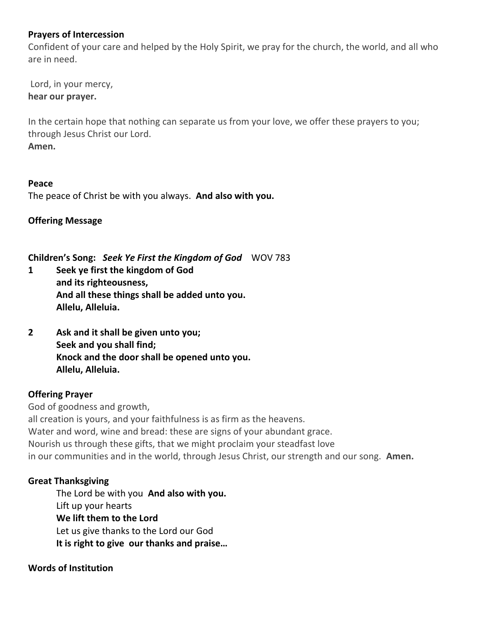## **Prayers of Intercession**

Confident of your care and helped by the Holy Spirit, we pray for the church, the world, and all who are in need.

Lord, in your mercy, **hear our prayer.**

In the certain hope that nothing can separate us from your love, we offer these prayers to you; through Jesus Christ our Lord. **Amen.**

## **Peace**

The peace of Christ be with you always. **And also with you.**

**Offering Message**

**Children's Song:** *Seek Ye First the Kingdom of God* WOV 783

**1 Seek ye first the kingdom of God and its righteousness, And all these things shall be added unto you. Allelu, Alleluia.**

**2 Ask and it shall be given unto you; Seek and you shall find; Knock and the door shall be opened unto you. Allelu, Alleluia.**

## **Offering Prayer**

God of goodness and growth, all creation is yours, and your faithfulness is as firm as the heavens. Water and word, wine and bread: these are signs of your abundant grace. Nourish us through these gifts, that we might proclaim your steadfast love in our communities and in the world, through Jesus Christ, our strength and our song. **Amen.**

## **Great Thanksgiving**

The Lord be with you **And also with you.** Lift up your hearts **We lift them to the Lord** Let us give thanks to the Lord our God **It is right to give our thanks and praise…** 

## **Words of Institution**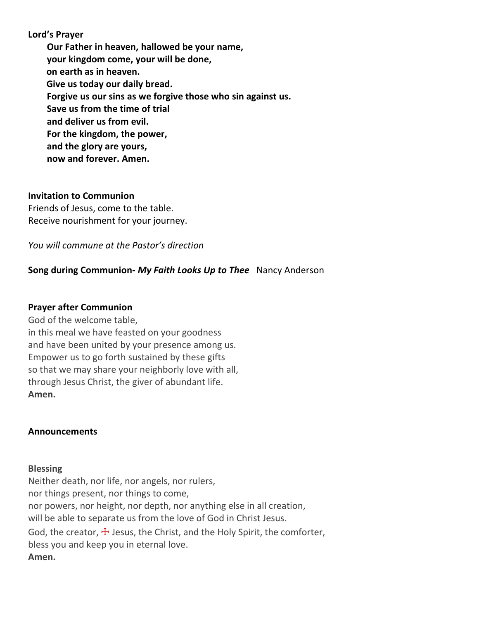**Lord's Prayer Our Father in heaven, hallowed be your name, your kingdom come, your will be done, on earth as in heaven. Give us today our daily bread. Forgive us our sins as we forgive those who sin against us. Save us from the time of trial and deliver us from evil. For the kingdom, the power, and the glory are yours, now and forever. Amen.**

#### **Invitation to Communion**

Friends of Jesus, come to the table. Receive nourishment for your journey.

*You will commune at the Pastor's direction*

## **Song during Communion-** *My Faith Looks Up to Thee* Nancy Anderson

#### **Prayer after Communion**

God of the welcome table, in this meal we have feasted on your goodness and have been united by your presence among us. Empower us to go forth sustained by these gifts so that we may share your neighborly love with all, through Jesus Christ, the giver of abundant life. **Amen.**

#### **Announcements**

#### **Blessing**

Neither death, nor life, nor angels, nor rulers, nor things present, nor things to come, nor powers, nor height, nor depth, nor anything else in all creation, will be able to separate us from the love of God in Christ Jesus. God, the creator,  $\pm$  Jesus, the Christ, and the Holy Spirit, the comforter, bless you and keep you in eternal love. **Amen.**